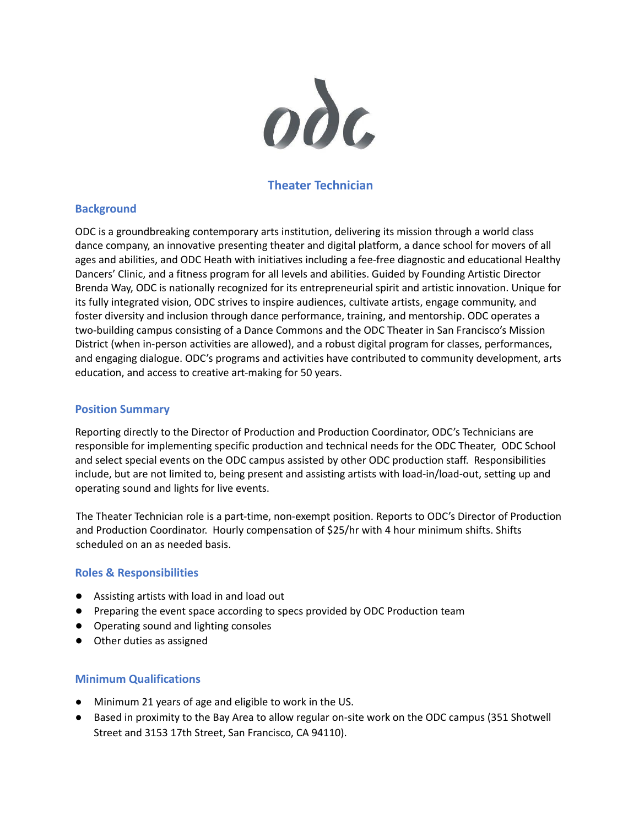

# **Theater Technician**

## **Background**

ODC is a groundbreaking contemporary arts institution, delivering its mission through a world class dance company, an innovative presenting theater and digital platform, a dance school for movers of all ages and abilities, and ODC Heath with initiatives including a fee-free diagnostic and educational Healthy Dancers' Clinic, and a fitness program for all levels and abilities. Guided by Founding Artistic Director Brenda Way, ODC is nationally recognized for its entrepreneurial spirit and artistic innovation. Unique for its fully integrated vision, ODC strives to inspire audiences, cultivate artists, engage community, and foster diversity and inclusion through dance performance, training, and mentorship. ODC operates a two-building campus consisting of a Dance Commons and the ODC Theater in San Francisco's Mission District (when in-person activities are allowed), and a robust digital program for classes, performances, and engaging dialogue. ODC's programs and activities have contributed to community development, arts education, and access to creative art-making for 50 years.

### **Position Summary**

Reporting directly to the Director of Production and Production Coordinator, ODC's Technicians are responsible for implementing specific production and technical needs for the ODC Theater, ODC School and select special events on the ODC campus assisted by other ODC production staff. Responsibilities include, but are not limited to, being present and assisting artists with load-in/load-out, setting up and operating sound and lights for live events.

The Theater Technician role is a part-time, non-exempt position. Reports to ODC's Director of Production and Production Coordinator. Hourly compensation of \$25/hr with 4 hour minimum shifts. Shifts scheduled on an as needed basis.

#### **Roles & Responsibilities**

- Assisting artists with load in and load out
- Preparing the event space according to specs provided by ODC Production team
- Operating sound and lighting consoles
- **●** Other duties as assigned

## **Minimum Qualifications**

- Minimum 21 years of age and eligible to work in the US.
- Based in proximity to the Bay Area to allow regular on-site work on the ODC campus (351 Shotwell Street and 3153 17th Street, San Francisco, CA 94110).